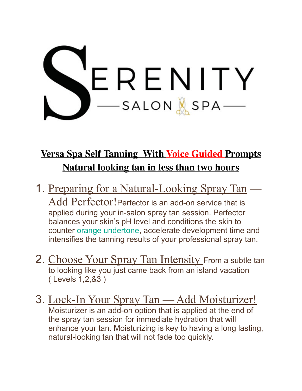# ERENITY  $-SALON$   $SPA$ —

## **Versa Spa Self Tanning With Voice Guided Prompts Natural looking tan in less than two hours**

- 1. Preparing for a Natural-Looking Spray Tan Add Perfector! Perfector is an add-on service that is applied during your in-salon spray tan session. Perfector balances your skin's pH level and conditions the skin to counter [orange undertone](https://www.versaspa.com/tanning-guide/avoid-orange-streaks-odors/), accelerate development time and intensifies the tanning results of your professional spray tan.
- 2. Choose Your Spray Tan Intensity From a subtle tan to looking like you just came back from an island vacation ( Levels 1,2,&3 )
- 3. Lock-In Your Spray Tan Add Moisturizer! Moisturizer is an add-on option that is applied at the end of the spray tan session for immediate hydration that will enhance your tan. Moisturizing is key to having a long lasting, natural-looking tan that will not fade too quickly.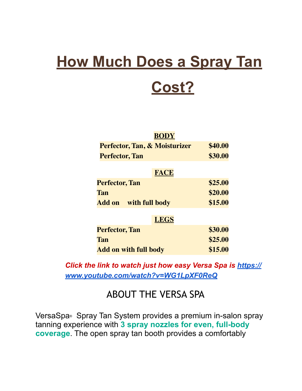## **How Much Does a Spray Tan Cost?**

| <b>BODY</b>                     |         |
|---------------------------------|---------|
| Perfector, Tan, & Moisturizer   | \$40.00 |
| <b>Perfector, Tan</b>           | \$30.00 |
|                                 |         |
| <b>FACE</b>                     |         |
| <b>Perfector, Tan</b>           | \$25.00 |
| Tan                             | \$20.00 |
| with full body<br><b>Add on</b> | \$15.00 |
| <b>LEGS</b>                     |         |
| <b>Perfector, Tan</b>           | \$30.00 |
| <b>Tan</b>                      | \$25.00 |
| <b>Add on with full body</b>    | \$15.00 |

*Click the link to watch just how easy Versa Spa is [https://](https://www.youtube.com/watch?v=WG1LpXF0ReQ) [www.youtube.com/watch?v=WG1LpXF0ReQ](https://www.youtube.com/watch?v=WG1LpXF0ReQ)*

#### ABOUT THE VERSA SPA

VersaSpa® Spray Tan System provides a premium in-salon spray tanning experience with **3 spray nozzles for even, full-body coverage**. The open spray tan booth provides a comfortably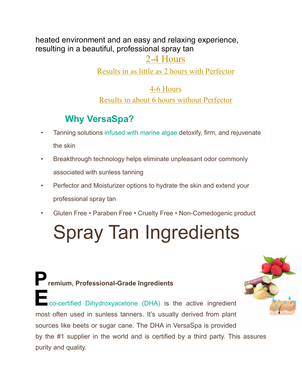heated environment and an easy and relaxing experience, resulting in a beautiful, professional spray tan

#### 2-4 Hours

Results in as little as 2 hours with Perfector

4-6 Hours

Results in about 6 hours without Perfector

### **Why VersaSpa?**

- Tanning solutions [infused with marine algae](https://www.versaspa.com/tanning-guide/dha-self-tanners-spray-tans/) detoxify, firm, and rejuvenate the skin
- Breakthrough technology helps eliminate unpleasant odor commonly associated with sunless tanning
- Perfector and Moisturizer options to hydrate the skin and extend your professional spray tan
- Gluten Free Paraben Free Cruelty Free Non-Comedogenic product

# Spray Tan Ingredients

**Premium, Professional-Grade Ingredients E**co-certified Dihydroxyacetone [\(DHA](https://www.versaspa.com/spray-tan-tips/glossary/)) is the active ingredient most often used in sunless tanners. It's usually derived from plant sources like beets or sugar cane. The DHA in VersaSpa is provided by the #1 supplier in the world and is certified by a third party. This assures purity and quality.